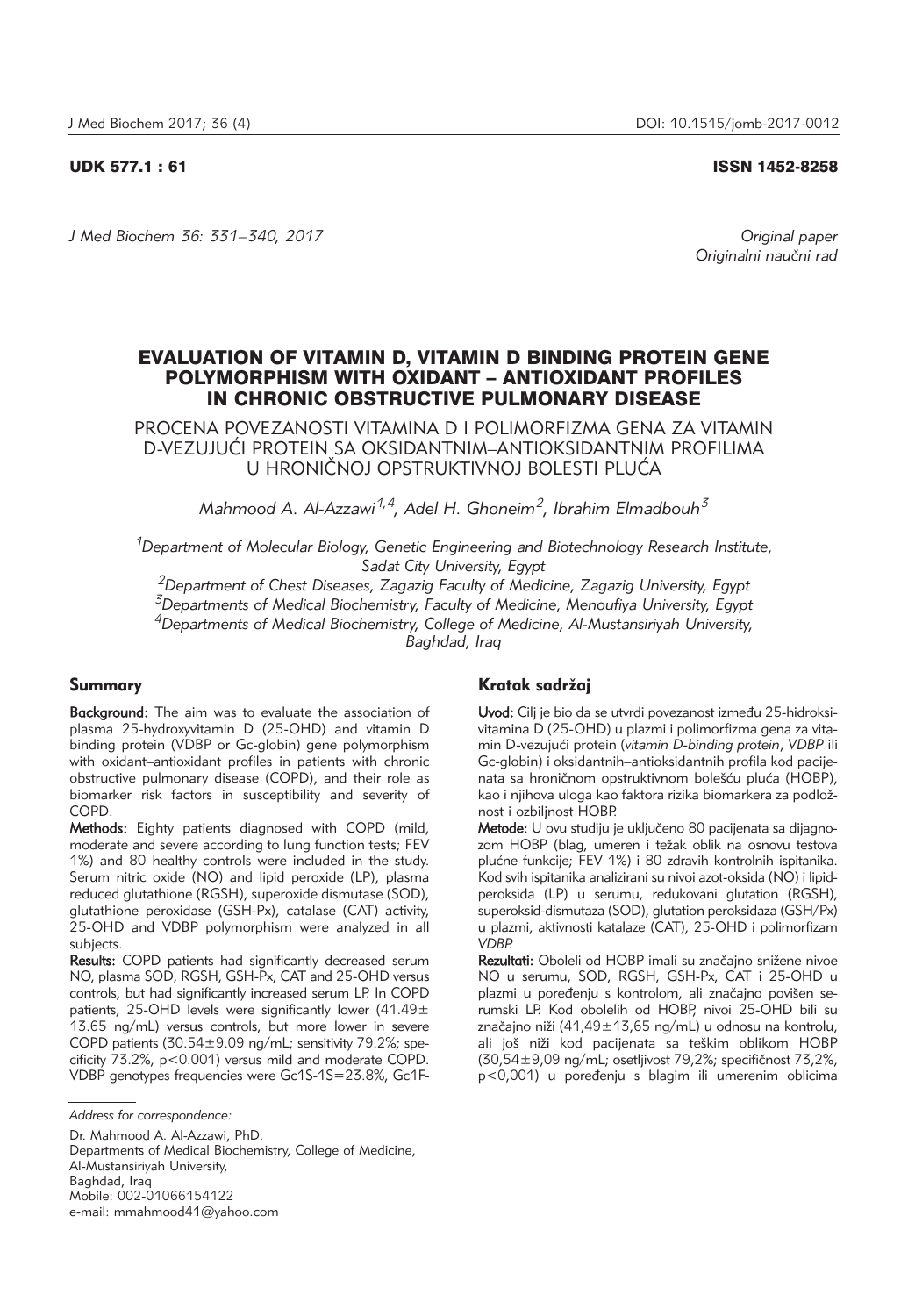## UDK 577.1 : 61 ISSN 1452-8258

*J Med Biochem 36: 331–340, 2017 Original paper*

*Originalni nau~ni rad*

# EVALUATION OF VITAMIN D, VITAMIN D BINDING PROTEIN GENE POLYMORPHISM WITH OXIDANT – ANTIOXIDANT PROFILES IN CHRONIC OBSTRUCTIVE PULMONARY DISEASE

PROCENA POVEZANOSTI VITAMINA D I POLIMORFIZMA GENA ZA VITAMIN D-VEZUJUĆI PROTEIN SA OKSIDANTNIM–ANTIOKSIDANTNIM PROFILIMA U HRONIČNOJ OPSTRUKTIVNOJ BOLESTI PLUĆA

*Mahmood A. Al-Azzawi1,4, Adel H. Ghoneim2, Ibrahim Elmadbouh3*

*1Department of Molecular Biology, Genetic Engineering and Biotechnology Research Institute, Sadat City University, Egypt*

*2Department of Chest Diseases, Zagazig Faculty of Medicine, Zagazig University, Egypt 3Departments of Medical Biochemistry, Faculty of Medicine, Menoufiya University, Egypt*

*4Departments of Medical Biochemistry, College of Medicine, Al-Mustansiriyah University,*

*Baghdad, Iraq*

# Summary

Background: The aim was to evaluate the association of plasma 25-hydroxyvitamin D (25-OHD) and vitamin D binding protein (VDBP or Gc-globin) gene polymorphism with oxidant–antioxidant profiles in patients with chronic obstructive pulmonary disease (COPD), and their role as biomarker risk factors in susceptibility and severity of COPD.

Methods: Eighty patients diagnosed with COPD (mild, moderate and severe according to lung function tests; FEV 1%) and 80 healthy controls were included in the study. Serum nitric oxide (NO) and lipid peroxide (LP), plasma reduced glutathione (RGSH), superoxide dismutase (SOD), glutathione peroxidase (GSH-Px), catalase (CAT) activity, 25-OHD and VDBP polymorphism were analyzed in all subjects.

Results: COPD patients had significantly decreased serum NO, plasma SOD, RGSH, GSH-Px, CAT and 25-OHD versus controls, but had significantly increased serum LP. In COPD patients, 25-OHD levels were significantly lower (41.49 $\pm$ 13.65 ng/mL) versus controls, but more lower in severe COPD patients  $(30.54 \pm 9.09 \text{ ng/mL})$ ; sensitivity 79.2%; specificity 73.2%, p<0.001) versus mild and moderate COPD. VDBP genotypes frequencies were Gc1S-1S=23.8%, Gc1F-

Dr. Mahmood A. Al-Azzawi, PhD.

Departments of Medical Biochemistry, College of Medicine, Al-Mustansiriyah University, Baghdad, Iraq Mobile: 002-01066154122 e-mail: mmahmood41@yahoo.com

# Kratak sadržaj

Uvod: Cilj je bio da se utvrdi povezanost između 25-hidroksivitamina D (25-OHD) u plazmi i polimorfizma gena za vitamin D-vezuju}i protein (*vitamin D-binding protein*, *VDBP* ili Gc-globin) i oksidantnih–antioksidantnih profila kod pacije nata sa hroničnom opstruktivnom bolešću pluća (HOBP), kao i njihova uloga kao faktora rizika biomarkera za podložnost i ozbiljnost HOBP.

Metode: U ovu studiju je uključeno 80 pacijenata sa dijagnozom HOBP (blag, umeren i težak oblik na osnovu testova plućne funkcije; FEV 1%) i 80 zdravih kontrolnih ispitanika. Kod svih ispitanika analizirani su nivoi azot-oksida (NO) i lipidperoksida (LP) u serumu, redukovani glutation (RGSH), superoksid-dismutaza (SOD), glutation peroksidaza (GSH/Px) u plazmi, aktivnosti katalaze (CAT), 25-OHD i polimorfizam *VDBP.*

Rezultati: Oboleli od HOBP imali su značajno snižene nivoe NO u serumu, SOD, RGSH, GSH-Px, CAT i 25-OHD u plazmi u poređenju s kontrolom, ali značajno povišen serumski LP. Kod obolelih od HOBP, nivoi 25-OHD bili su značajno niži (41,49 $\pm$ 13,65 ng/mL) u odnosu na kontrolu, ali još niži kod pacijenata sa teškim oblikom HOBP  $(30,54\pm9,09 \text{ ng/mL})$  osetljivost 79,2%; specifičnost 73,2%, p<0,001) u poređenju s blagim ili umerenim oblicima

*Address for correspondence:*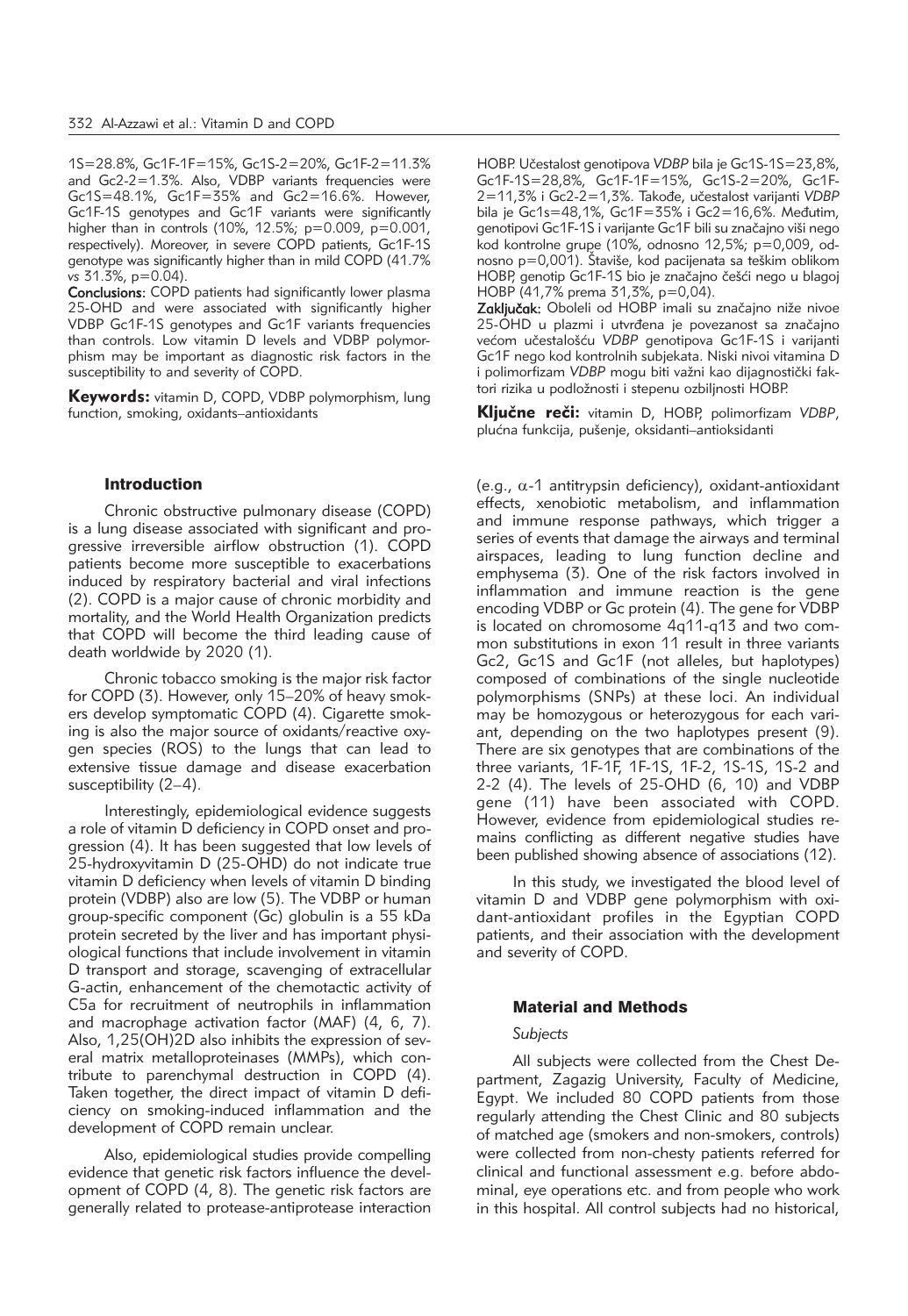1S=28.8%, Gc1F-1F=15%, Gc1S-2=20%, Gc1F-2=11.3% and Gc2-2=1.3%. Also, VDBP variants frequencies were Gc1S=48.1%, Gc1F=35% and Gc2=16.6%. However, Gc1F-1S genotypes and Gc1F variants were significantly higher than in controls (10%, 12.5%; p=0.009, p=0.001, respectively). Moreover, in severe COPD patients, Gc1F-1S genotype was significantly higher than in mild COPD (41.7% *vs* 31.3%, p=0.04).

Conclusions: COPD patients had significantly lower plasma 25-OHD and were associated with significantly higher VDBP Gc1F-1S genotypes and Gc1F variants frequencies than controls. Low vitamin D levels and VDBP polymorphism may be important as diagnostic risk factors in the susceptibility to and severity of COPD.

Kevwords: vitamin D, COPD, VDBP polymorphism, lung function, smoking, oxidants–antioxidants

#### Introduction

Chronic obstructive pulmonary disease (COPD) is a lung disease associated with significant and progressive irreversible airflow obstruction (1). COPD patients become more susceptible to exacerbations induced by respiratory bacterial and viral infections (2). COPD is a major cause of chronic morbidity and mortality, and the World Health Organization predicts that COPD will become the third leading cause of death worldwide by 2020 (1).

Chronic tobacco smoking is the major risk factor for COPD (3). However, only 15–20% of heavy smokers develop symptomatic COPD (4). Cigarette smoking is also the major source of oxidants/reactive oxygen species (ROS) to the lungs that can lead to extensive tissue damage and disease exacerbation susceptibility (2–4).

Interestingly, epidemiological evidence suggests a role of vitamin D deficiency in COPD onset and progression (4). It has been suggested that low levels of 25-hydroxyvitamin D (25-OHD) do not indicate true vitamin D deficiency when levels of vitamin D binding protein (VDBP) also are low (5). The VDBP or human group-specific component (Gc) globulin is a 55 kDa protein secreted by the liver and has important physiological functions that include involvement in vitamin D transport and storage, scavenging of extracellular G-actin, enhancement of the chemotactic activity of C5a for recruitment of neutrophils in inflammation and macrophage activation factor (MAF) (4, 6, 7). Also, 1,25(OH)2D also inhibits the expression of several matrix metalloproteinases (MMPs), which contribute to parenchymal destruction in COPD (4). Taken together, the direct impact of vitamin D deficiency on smoking-induced inflammation and the development of COPD remain unclear.

Also, epidemiological studies provide compelling evidence that genetic risk factors influence the development of COPD (4, 8). The genetic risk factors are generally related to protease-antiprotease interaction HOBP. Učestalost genotipova *VDBP* bila je Gc1S-1S=23,8%, Gc1F-1S=28,8%, Gc1F-1F=15%, Gc1S-2=20%, Gc1F-2=11,3% i Gc2-2=1,3%. Tako|e, u~estalost varijanti *VDBP* bila je Gc1s=48,1%, Gc1F=35% i Gc2=16,6%. Međutim, genotipovi Gc1F-1S i varijante Gc1F bili su značajno viši nego kod kontrolne grupe (10%, odnosno 12,5%; p=0,009, od nosno  $p=0,001$ ). Štaviše, kod pacijenata sa teškim oblikom HOBP, genotip Gc1F-1S bio je značajno češći nego u blagoj HOBP (41,7% prema 31,3%, p=0,04).

Zaključak: Oboleli od HOBP imali su značajno niže nivoe 25-OHD u plazmi i utvrđena je povezanost sa značajno većom učestalošću VDBP genotipova Gc1F-1S i varijanti Gc1F nego kod kontrolnih subjekata. Niski nivoi vitamina D i polimorfizam VDBP mogu biti važni kao dijagnostički faktori rizika u podložnosti i stepenu ozbiljnosti HOBP.

Ključne reči: vitamin D, HOBP, polimorfizam VDBP, plućna funkcija, pušenje, oksidanti-antioksidanti

(e.g.,  $\alpha$ -1 antitrypsin deficiency), oxidant-antioxidant effects, xenobiotic metabolism, and inflammation and immune response pathways, which trigger a series of events that damage the airways and terminal airspaces, leading to lung function decline and emphysema (3). One of the risk factors involved in inflammation and immune reaction is the gene encoding VDBP or Gc protein (4). The gene for VDBP is located on chromosome 4q11-q13 and two common substitutions in exon 11 result in three variants Gc2, Gc1S and Gc1F (not alleles, but haplotypes) composed of combinations of the single nucleotide polymorphisms (SNPs) at these loci. An individual may be homozygous or heterozygous for each variant, depending on the two haplotypes present (9). There are six genotypes that are combinations of the three variants, 1F-1F, 1F-1S, 1F-2, 1S-1S, 1S-2 and 2-2 (4). The levels of 25-OHD (6, 10) and VDBP gene (11) have been associated with COPD. However, evidence from epidemiological studies remains conflicting as different negative studies have been published showing absence of associations (12).

In this study, we investigated the blood level of vitamin D and VDBP gene polymorphism with oxidant-antioxidant profiles in the Egyptian COPD patients, and their association with the development and severity of COPD.

### Material and Methods

#### *Subjects*

All subjects were collected from the Chest Department, Zagazig University, Faculty of Medicine, Egypt. We included 80 COPD patients from those regularly attending the Chest Clinic and 80 subjects of matched age (smokers and non-smokers, controls) were collected from non-chesty patients referred for clinical and functional assessment e.g. before abdominal, eye operations etc. and from people who work in this hospital. All control subjects had no historical,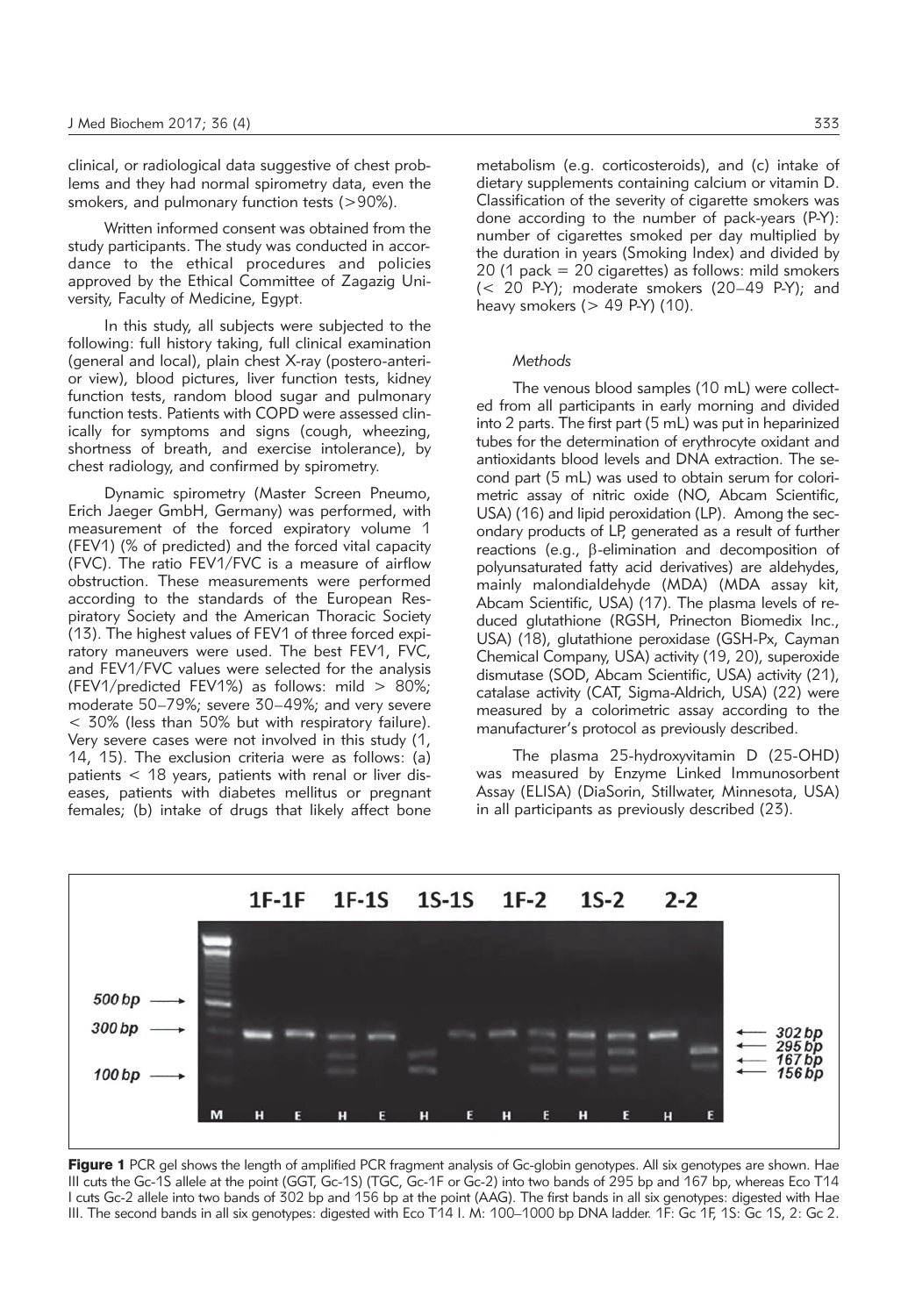clinical, or radiological data suggestive of chest problems and they had normal spirometry data, even the smokers, and pulmonary function tests (>90%).

Written informed consent was obtained from the study participants. The study was conducted in accordance to the ethical procedures and policies approved by the Ethical Committee of Zagazig University, Faculty of Medicine, Egypt.

In this study, all subjects were subjected to the following: full history taking, full clinical examination (general and local), plain chest X-ray (postero-anterior view), blood pictures, liver function tests, kidney function tests, random blood sugar and pulmonary function tests. Patients with COPD were assessed clinically for symptoms and signs (cough, wheezing, shortness of breath, and exercise intolerance), by chest radiology, and confirmed by spirometry.

Dynamic spirometry (Master Screen Pneumo, Erich Jaeger GmbH, Germany) was performed, with measurement of the forced expiratory volume 1 (FEV1) (% of predicted) and the forced vital capacity (FVC). The ratio FEV1/FVC is a measure of airflow obstruction. These measurements were performed according to the standards of the European Respiratory Society and the American Thoracic Society (13). The highest values of FEV1 of three forced expiratory maneuvers were used. The best FEV1, FVC, and FEV1/FVC values were selected for the analysis (FEV1/predicted FEV1%) as follows: mild  $> 80\%$ ; moderate 50–79%; severe 30–49%; and very severe < 30% (less than 50% but with respiratory failure). Very severe cases were not involved in this study (1, 14, 15). The exclusion criteria were as follows: (a) patients < 18 years, patients with renal or liver diseases, patients with diabetes mellitus or pregnant females; (b) intake of drugs that likely affect bone metabolism (e.g. corticosteroids), and (c) intake of dietary supplements containing calcium or vitamin D. Classification of the severity of cigarette smokers was done according to the number of pack-years (P-Y): number of cigarettes smoked per day multiplied by the duration in years (Smoking Index) and divided by 20 (1 pack = 20 cigarettes) as follows: mild smokers (< 20 P-Y); moderate smokers (20–49 P-Y); and heavy smokers  $(> 49$  P-Y)  $(10)$ .

#### *Methods*

The venous blood samples (10 mL) were collected from all participants in early morning and divided into 2 parts. The first part  $(5 \text{ mL})$  was put in heparinized tubes for the determination of erythrocyte oxidant and antioxidants blood levels and DNA extraction. The second part (5 mL) was used to obtain serum for colorimetric assay of nitric oxide (NO, Abcam Scientific, USA) (16) and lipid peroxidation (LP). Among the secondary products of LP, generated as a result of further reactions (e.g., b-elimination and decomposition of polyunsaturated fatty acid derivatives) are aldehydes, mainly malondialdehyde (MDA) (MDA assay kit, Abcam Scientific, USA) (17). The plasma levels of reduced glutathione (RGSH, Prinecton Biomedix Inc., USA) (18), glutathione peroxidase (GSH-Px, Cayman Chemical Company, USA) activity (19, 20), superoxide dismutase (SOD, Abcam Scientific, USA) activity (21), catalase activity (CAT, Sigma-Aldrich, USA) (22) were measured by a colorimetric assay according to the manufacturer's protocol as previously described.

The plasma 25-hydroxyvitamin D (25-OHD) was measured by Enzyme Linked Immunosorbent Assay (ELISA) (DiaSorin, Stillwater, Minnesota, USA) in all participants as previously described (23).



Figure 1 PCR gel shows the length of amplified PCR fragment analysis of Gc-globin genotypes. All six genotypes are shown. Hae III cuts the Gc-1S allele at the point (GGT, Gc-1S) (TGC, Gc-1F or Gc-2) into two bands of 295 bp and 167 bp, whereas Eco T14 I cuts Gc-2 allele into two bands of 302 bp and 156 bp at the point (AAG). The first bands in all six genotypes: digested with Hae III. The second bands in all six genotypes: digested with Eco T14 I. M: 100–1000 bp DNA ladder. 1F: Gc 1F, 1S: Gc 1S, 2: Gc 2.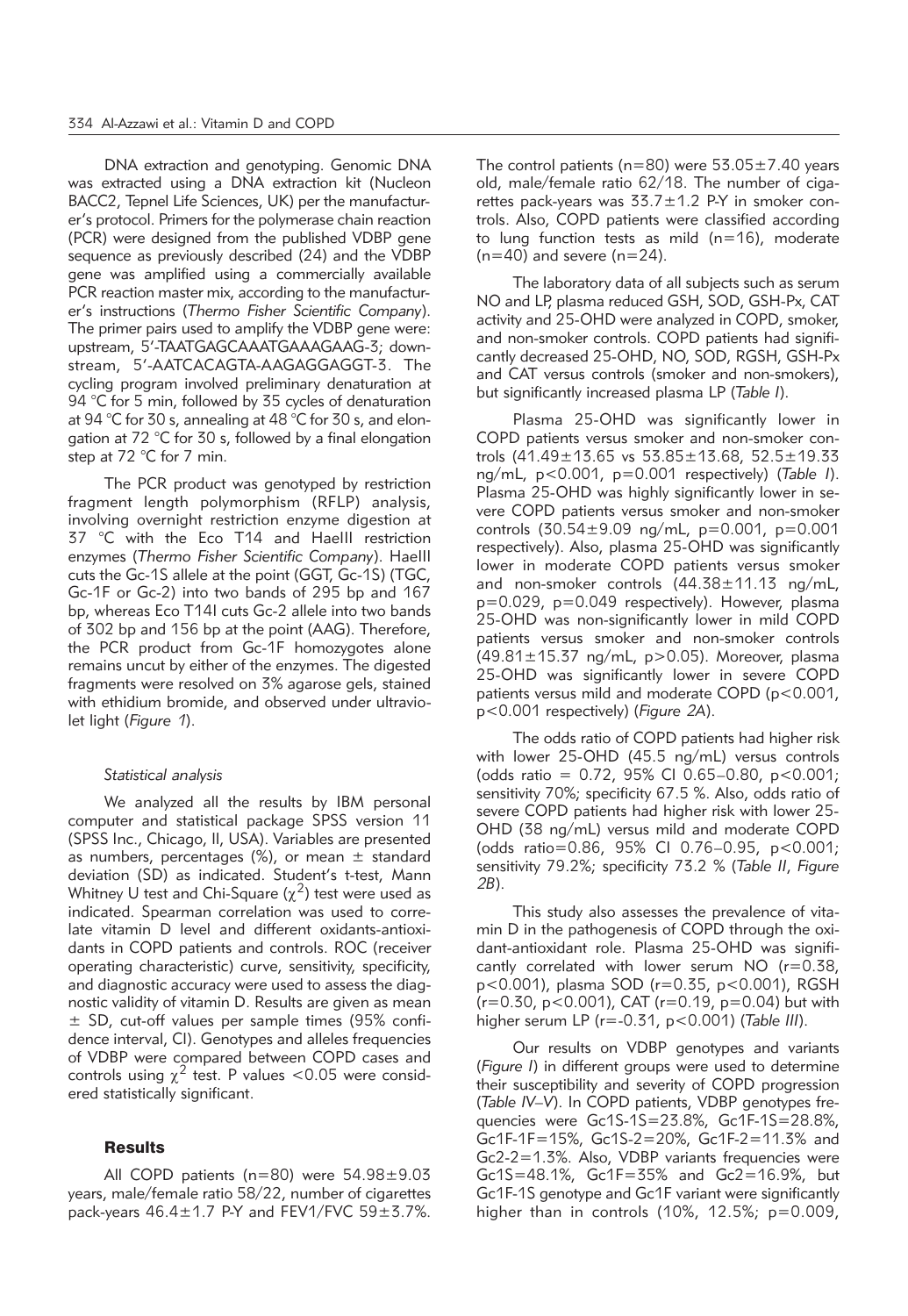DNA extraction and genotyping. Genomic DNA was extracted using a DNA extraction kit (Nucleon BACC2, Tepnel Life Sciences, UK) per the manufacturer's protocol. Primers for the polymerase chain reaction (PCR) were designed from the published VDBP gene sequence as previously described (24) and the VDBP gene was amplified using a commercially available PCR reaction master mix, according to the manufacturer's instructions (*Thermo Fisher Scien tific Company*). The primer pairs used to amplify the VDBP gene were: upstream, 5'-TAATGAGCAAATGAAAGAAG-3; downstream, 5'-AATCACAGTA-AAGAGGAGGT-3. The cycling program involved preliminary denaturation at 94 °C for 5 min, followed by 35 cycles of denaturation at 94 °C for 30 s, annealing at 48 °C for 30 s, and elongation at 72 °C for 30 s, followed by a final elongation step at 72 °C for 7 min.

The PCR product was genotyped by restriction fragment length polymorphism (RFLP) analysis, involving overnight restriction enzyme digestion at 37 °C with the Eco T14 and HaeIII restriction enzymes (*Thermo Fisher Scientific Company*). HaeIII cuts the Gc-1S allele at the point (GGT, Gc-1S) (TGC, Gc-1F or Gc-2) into two bands of 295 bp and 167 bp, whereas Eco T14I cuts Gc-2 allele into two bands of 302 bp and 156 bp at the point (AAG). Therefore, the PCR product from Gc-1F homozygotes alone remains uncut by either of the enzymes. The digested fragments were resolved on 3% agarose gels, stained with ethidium bromide, and observed under ultraviolet light (*Figure 1*).

#### *Statistical analysis*

We analyzed all the results by IBM personal computer and statistical package SPSS version 11 (SPSS Inc., Chicago, Il, USA). Variables are presented as numbers, percentages (%), or mean  $\pm$  standard deviation (SD) as indicated. Student's t-test, Mann Whitney U test and Chi-Square  $(x^2)$  test were used as indicated. Spearman correlation was used to correlate vitamin D level and different oxidants-antioxidants in COPD patients and controls. ROC (receiver operating characteristic) curve, sensitivity, specificity, and diagnostic accuracy were used to assess the diagnostic validity of vitamin D. Results are given as mean ± SD, cut-off values per sample times (95% confidence interval, CI). Genotypes and alleles frequencies of VDBP were compared between COPD cases and controls using  $\chi^2$  test. P values <0.05 were considered statistically significant.

## Results

All COPD patients (n=80) were 54.98±9.03 years, male/female ratio 58/22, number of cigarettes pack-years  $46.4 \pm 1.7$  P-Y and FEV1/FVC  $59 \pm 3.7\%$ . The control patients ( $n=80$ ) were  $53.05\pm7.40$  years old, male/female ratio 62/18. The number of cigarettes pack-years was  $33.7 \pm 1.2$  P-Y in smoker controls. Also, COPD patients were classified according to lung function tests as mild (n=16), moderate  $(n=40)$  and severe  $(n=24)$ .

The laboratory data of all subjects such as serum NO and LP, plasma reduced GSH, SOD, GSH-Px, CAT activity and 25-OHD were analyzed in COPD, smoker, and non-smoker controls. COPD patients had significantly decreased 25-OHD, NO, SOD, RGSH, GSH-Px and CAT versus controls (smoker and non-smokers), but significantly increased plasma LP (*Table I*).

Plasma 25-OHD was significantly lower in COPD patients versus smoker and non-smoker controls (41.49±13.65 vs 53.85±13.68, 52.5±19.33 ng/mL, p<0.001, p=0.001 respectively) (*Table I*). Plasma 25-OHD was highly significantly lower in severe COPD patients versus smoker and non-smoker controls (30.54±9.09 ng/mL, p=0.001, p=0.001 respectively). Also, plasma 25-OHD was significantly lower in moderate COPD patients versus smoker and non-smoker controls (44.38±11.13 ng/mL, p=0.029, p=0.049 respectively). However, plasma 25-OHD was non-significantly lower in mild COPD patients versus smoker and non-smoker controls (49.81 $\pm$ 15.37 ng/mL, p > 0.05). Moreover, plasma 25-OHD was significantly lower in severe COPD patients versus mild and moderate COPD (p<0.001, p<0.001 respectively) (*Figure 2A*).

The odds ratio of COPD patients had higher risk with lower 25-OHD (45.5 ng/mL) versus controls (odds ratio =  $0.72$ , 95% CI 0.65-0.80, p<0.001; sensitivity 70%; specificity 67.5 %. Also, odds ratio of severe COPD patients had higher risk with lower 25- OHD (38 ng/mL) versus mild and moderate COPD (odds ratio=0.86, 95% CI 0.76–0.95, p<0.001; sensitivity 79.2%; specificity 73.2 % (*Table II*, *Figure 2B*).

This study also assesses the prevalence of vitamin D in the pathogenesis of COPD through the oxidant-antioxidant role. Plasma 25-OHD was significantly correlated with lower serum NO (r=0.38, p<0.001), plasma SOD (r=0.35, p<0.001), RGSH (r=0.30, p<0.001), CAT (r=0.19, p=0.04) but with higher serum LP (r=-0.31, p<0.001) (*Table III*).

Our results on VDBP genotypes and variants (*Figure I*) in different groups were used to determine their susceptibility and severity of COPD progression (*Table IV–V*). In COPD patients, VDBP genotypes frequencies were Gc1S-1S=23.8%, Gc1F-1S=28.8%, Gc1F-1F=15%, Gc1S-2=20%, Gc1F-2=11.3% and Gc2-2=1.3%. Also, VDBP variants frequencies were Gc1S=48.1%, Gc1F=35% and Gc2=16.9%, but Gc1F-1S genotype and Gc1F variant were significantly higher than in controls  $(10\%, 12.5\%; p=0.009,$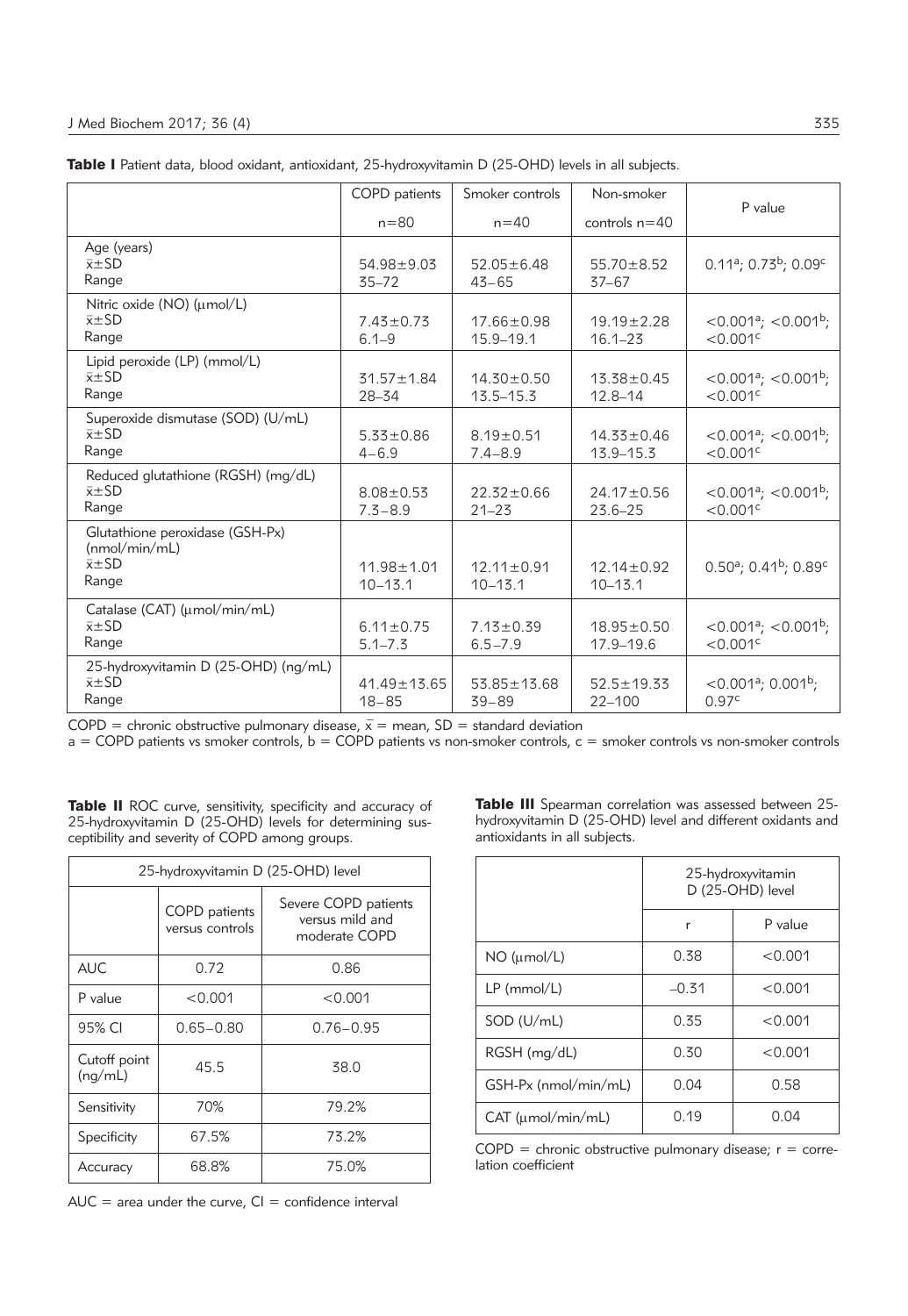|                                                                               | COPD patients                   | Smoker controls                   | Non-smoker                        |                                                                    |
|-------------------------------------------------------------------------------|---------------------------------|-----------------------------------|-----------------------------------|--------------------------------------------------------------------|
|                                                                               | $n = 80$                        | $n = 40$                          | controls $n = 40$                 | P value                                                            |
| Age (years)<br>$\bar{x} \pm SD$<br>Range                                      | $54.98 \pm 9.03$<br>$35 - 72$   | $52.05 \pm 6.48$<br>$43 - 65$     | $55.70 \pm 8.52$<br>$37 - 67$     | $0.11a$ ; 0.73 <sup>b</sup> ; 0.09 <sup>c</sup>                    |
| Nitric oxide (NO) (umol/L)<br>$\bar{x} \pm SD$<br>Range                       | $7.43 \pm 0.73$<br>$6.1 - 9$    | $17.66 \pm 0.98$<br>$15.9 - 19.1$ | $19.19 \pm 2.28$<br>$16.1 - 23$   | $<$ 0.001 <sup>a</sup> ; $<$ 0.001 <sup>b</sup> ;<br>< 0.001c      |
| Lipid peroxide (LP) (mmol/L)<br>$\bar{x} \pm SD$<br>Range                     | $31.57 \pm 1.84$<br>28-34       | $14.30 \pm 0.50$<br>$13.5 - 15.3$ | $13.38 \pm 0.45$<br>$12.8 - 14$   | $<$ 0.001 <sup>a</sup> ; $<$ 0.001 <sup>b</sup> ;<br>< 0.001c      |
| Superoxide dismutase (SOD) (U/mL)<br>$\bar{x} \pm SD$<br>Range                | $5.33 \pm 0.86$<br>$4 - 6.9$    | $8.19 \pm 0.51$<br>$7.4 - 8.9$    | $14.33 \pm 0.46$<br>$13.9 - 15.3$ | $<$ 0.001 <sup>a</sup> ; $<$ 0.001 <sup>b</sup> ;<br>< 0.001c      |
| Reduced glutathione (RGSH) (mg/dL)<br>$\bar{x} \pm SD$<br>Range               | $8.08 \pm 0.53$<br>$7.3 - 8.9$  | $22.32 \pm 0.66$<br>$21 - 23$     | $24.17 \pm 0.56$<br>$23.6 - 25$   | $<$ 0.001 <sup>a</sup> ; $<$ 0.001 <sup>b</sup> ;<br>< 0.001c      |
| Glutathione peroxidase (GSH-Px)<br>(mmol/min/mL)<br>$\bar{x} \pm SD$<br>Range | $11.98 \pm 1.01$<br>$10 - 13.1$ | $12.11 \pm 0.91$<br>$10 - 13.1$   | $12.14 + 0.92$<br>$10 - 13.1$     | $0.50^{\circ}$ ; 0.41 <sup>b</sup> ; 0.89 <sup>c</sup>             |
| Catalase (CAT) (umol/min/mL)<br>$\bar{x} \pm SD$<br>Range                     | $6.11 \pm 0.75$<br>$5.1 - 7.3$  | $7.13 \pm 0.39$<br>$6.5 - 7.9$    | $18.95 \pm 0.50$<br>17.9-19.6     | $<$ 0.001 <sup>a</sup> ; $<$ 0.001 <sup>b</sup> ;<br>< 0.001c      |
| 25-hydroxyvitamin D (25-OHD) (ng/mL)<br>$\bar{x} \pm SD$<br>Range             | $41.49 \pm 13.65$<br>$18 - 85$  | $53.85 \pm 13.68$<br>$39 - 89$    | $52.5 \pm 19.33$<br>$22 - 100$    | $<$ 0.001 <sup>a</sup> ; 0.001 <sup>b</sup> ;<br>0.97 <sup>c</sup> |

|  |  |  |  |  |  | <b>Table I</b> Patient data, blood oxidant, antioxidant, 25-hydroxyvitamin D (25-OHD) levels in all subjects. |
|--|--|--|--|--|--|---------------------------------------------------------------------------------------------------------------|
|--|--|--|--|--|--|---------------------------------------------------------------------------------------------------------------|

COPD = chronic obstructive pulmonary disease,  $\bar{x}$  = mean, SD = standard deviation

 $a = \text{COPD}$  patients vs smoker controls,  $b = \text{COPD}$  patients vs non-smoker controls,  $c =$  smoker controls vs non-smoker controls

Table II ROC curve, sensitivity, specificity and accuracy of 25-hydroxyvitamin D (25-OHD) levels for determining susceptibility and severity of COPD among groups.

| 25-hydroxyvitamin D (25-OHD) level |                                  |                                                          |  |  |
|------------------------------------|----------------------------------|----------------------------------------------------------|--|--|
|                                    | COPD patients<br>versus controls | Severe COPD patients<br>versus mild and<br>moderate COPD |  |  |
| <b>AUC</b>                         | 0.72<br>0.86                     |                                                          |  |  |
| P value                            | < 0.001                          | < 0.001                                                  |  |  |
| 95% CI                             | $0.65 - 0.80$                    | $0.76 - 0.95$                                            |  |  |
| Cutoff point<br>(nq/mL)            | 45.5                             | 38.0                                                     |  |  |
| Sensitivity                        | 70%                              | 79.2%                                                    |  |  |
| Specificity                        | 67.5%                            | 73.2%                                                    |  |  |
| Accuracy                           | 68.8%                            | 75.0%                                                    |  |  |

 $AUC = area$  under the curve,  $Cl =$  confidence interval

Table III Spearman correlation was assessed between 25hydroxyvitamin D (25-OHD) level and different oxidants and antioxidants in all subjects.

|                         | 25-hydroxyvitamin<br>D (25-OHD) level |         |
|-------------------------|---------------------------------------|---------|
|                         | r                                     | P value |
| $NO$ ( $µmol/L$ )       | 0.38                                  | < 0.001 |
| $LP$ (mmol/L)           | $-0.31$                               | < 0.001 |
| SOD (U/mL)              | 0.35                                  | < 0.001 |
| RGSH (mg/dL)            | 0.30                                  | < 0.001 |
| GSH-Px (nmol/min/mL)    | 0.04                                  | 0.58    |
| $CAT$ ( $umol/min/mL$ ) | 0.19                                  | 0.04    |

 $COPD =$  chronic obstructive pulmonary disease;  $r =$  correlation coefficient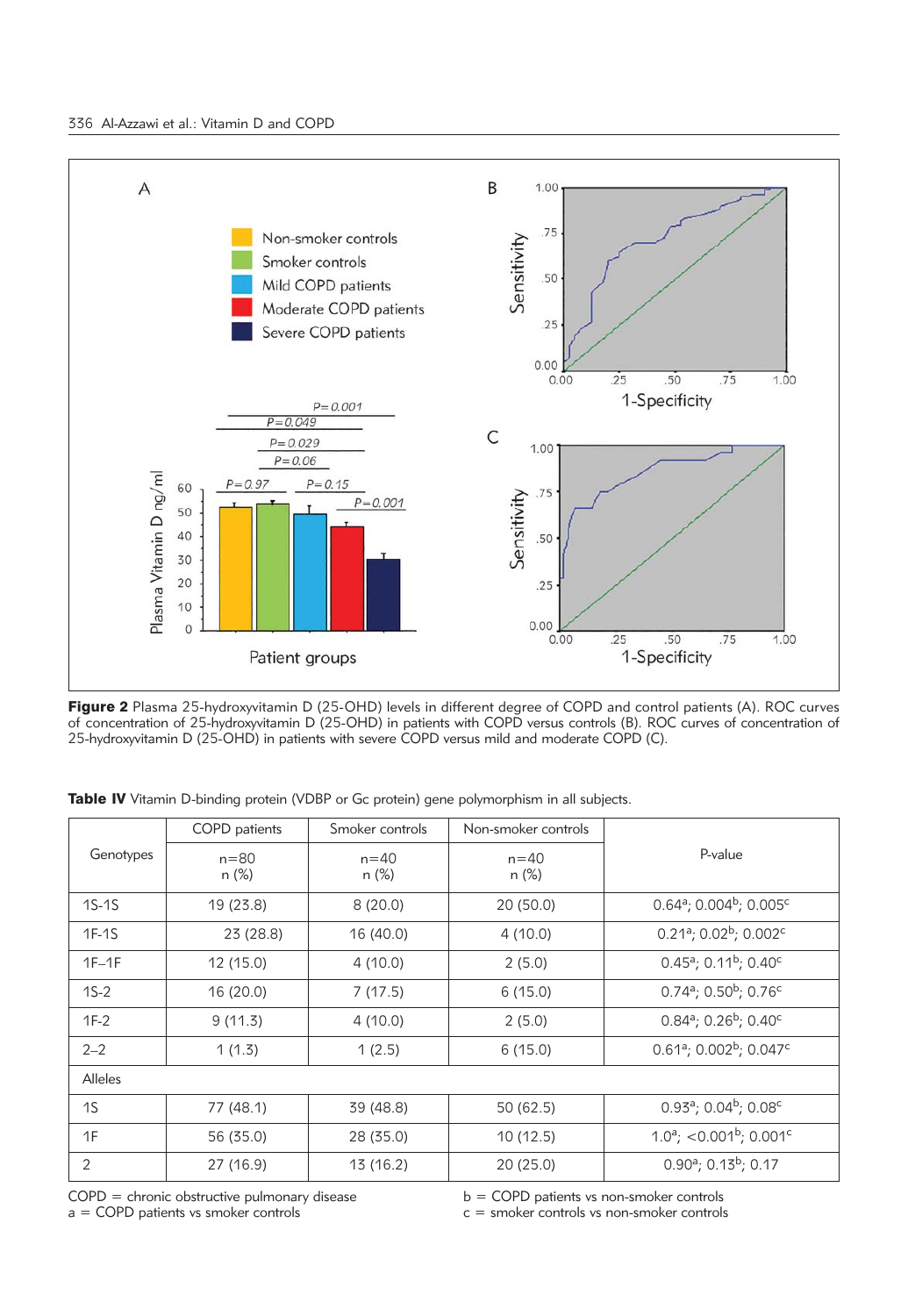

Figure 2 Plasma 25-hydroxyvitamin D (25-OHD) levels in different degree of COPD and control patients (A). ROC curves of concentration of 25-hydroxyvitamin D (25-OHD) in patients with COPD versus controls (B). ROC curves of concentration of 25-hydroxyvitamin D (25-OHD) in patients with severe COPD versus mild and moderate COPD (C).

|  | Table IV Vitamin D-binding protein (VDBP or Gc protein) gene polymorphism in all subjects. |  |  |  |
|--|--------------------------------------------------------------------------------------------|--|--|--|
|--|--------------------------------------------------------------------------------------------|--|--|--|

| COPD patients                  |                   | Smoker controls      | Non-smoker controls |                                                          |  |
|--------------------------------|-------------------|----------------------|---------------------|----------------------------------------------------------|--|
| Genotypes<br>$n = 80$<br>n (%) | $n = 40$<br>n (%) | $n = 40$<br>$n (\%)$ | P-value             |                                                          |  |
| $1S-1S$                        | 19 (23.8)         | 8(20.0)              | 20 (50.0)           | $0.64^{\circ}$ ; 0.004 <sup>b</sup> ; 0.005 <sup>c</sup> |  |
| $1F-1S$                        | 23 (28.8)         | 16 (40.0)            | 4(10.0)             | $0.21a$ ; $0.02b$ ; $0.002c$                             |  |
| $1F-1F$                        | 12 (15.0)         | 4 (10.0)             | 2(5.0)              | $0.45^a$ ; 0.11 <sup>b</sup> ; 0.40 <sup>c</sup>         |  |
| $1S-2$                         | 16 (20.0)         | 7(17.5)              | 6(15.0)             | $0.74^a$ ; $0.50^b$ ; $0.76^c$                           |  |
| $1F-2$                         | 9(11.3)           | 4(10.0)              | 2(5.0)              | $0.84^a$ ; 0.26 <sup>b</sup> ; 0.40 <sup>c</sup>         |  |
| $2 - 2$                        | 1(1.3)            | 1(2.5)               | 6(15.0)             | $0.61a$ ; $0.002b$ ; $0.047c$                            |  |
| <b>Alleles</b>                 |                   |                      |                     |                                                          |  |
| 1S                             | 77 (48.1)         | 39 (48.8)            | 50 (62.5)           | $0.93^a$ ; $0.04^b$ ; $0.08^c$                           |  |
| 1F                             | 56 (35.0)         | 28 (35.0)            | 10(12.5)            | $1.0^a$ ; <0.001 <sup>b</sup> ; 0.001 <sup>c</sup>       |  |
| 2                              | 27 (16.9)         | 13 (16.2)            | 20(25.0)            | $0.90^a$ ; $0.13^b$ ; 0.17                               |  |

COPD = chronic obstructive pulmonary disease

b = COPD patients vs non-smoker controls

a = COPD patients vs smoker controls

c = smoker controls vs non-smoker controls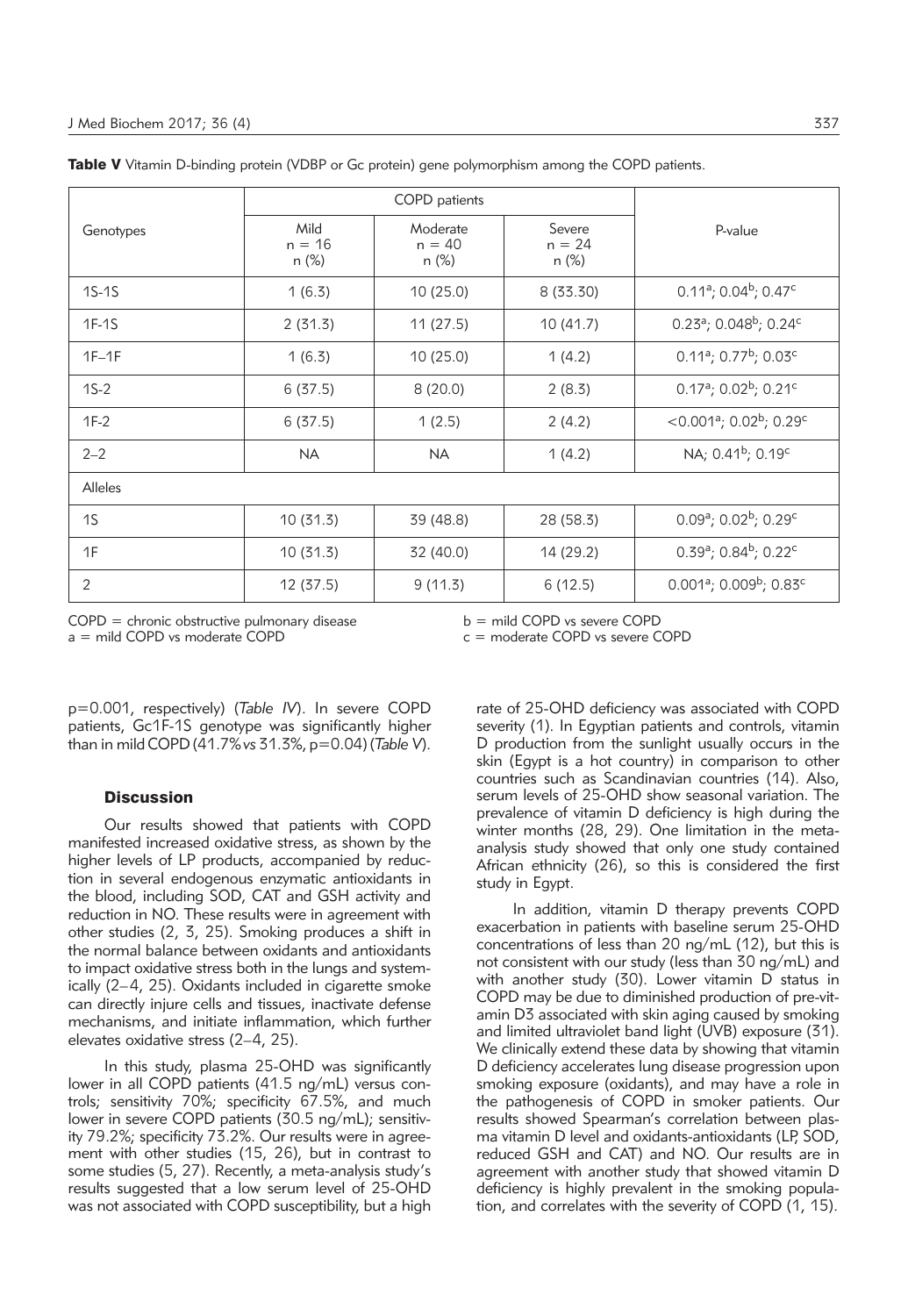|           |                           | COPD patients                 |                             |                                                             |
|-----------|---------------------------|-------------------------------|-----------------------------|-------------------------------------------------------------|
| Genotypes | Mild<br>$n = 16$<br>n (%) | Moderate<br>$n = 40$<br>n (%) | Severe<br>$n = 24$<br>n (%) | P-value                                                     |
| $1S-1S$   | 1(6.3)                    | 10(25.0)                      | 8 (33.30)                   | $0.11^a$ ; 0.04 <sup>b</sup> ; 0.47 <sup>c</sup>            |
| $1F-1S$   | 2(31.3)                   | 11(27.5)                      | 10(41.7)                    | $0.23^a$ ; 0.048 <sup>b</sup> ; 0.24 <sup>c</sup>           |
| $1F-1F$   | 1(6.3)                    | 10(25.0)                      | 1(4.2)                      | $0.11a$ ; 0.77 <sup>b</sup> ; 0.03 <sup>c</sup>             |
| $1S-2$    | 6(37.5)                   | 8(20.0)                       | 2(8.3)                      | $0.17^a$ ; $0.02^b$ ; $0.21^c$                              |
| $1F-2$    | 6(37.5)                   | 1(2.5)                        | 2(4.2)                      | <0.001 <sup>a</sup> ; 0.02 <sup>b</sup> ; 0.29 <sup>c</sup> |
| $2 - 2$   | <b>NA</b>                 | <b>NA</b>                     | 1(4.2)                      | NA; 0.41 <sup>b</sup> ; 0.19 <sup>c</sup>                   |
| Alleles   |                           |                               |                             |                                                             |
| 1S        | 10(31.3)                  | 39 (48.8)                     | 28 (58.3)                   | $0.09^a$ ; $0.02^b$ ; $0.29^c$                              |
| 1F        | 10 (31.3)                 | 32 (40.0)                     | 14 (29.2)                   | $0.39^a$ ; 0.84 <sup>b</sup> ; 0.22 <sup>c</sup>            |
| 2         | 12 (37.5)                 | 9(11.3)                       | 6(12.5)                     | $0.001a$ ; $0.009b$ ; $0.83c$                               |

Table V Vitamin D-binding protein (VDBP or Gc protein) gene polymorphism among the COPD patients.

COPD = chronic obstructive pulmonary disease

b = mild COPD vs severe COPD

a = mild COPD vs moderate COPD

c = moderate COPD vs severe COPD

p=0.001, respectively) (*Table IV*). In severe COPD patients, Gc1F-1S genotype was significantly higher than in mild COPD (41.7%*vs* 31.3%, p=0.04) (*Table V*).

## **Discussion**

Our results showed that patients with COPD manifested increased oxidative stress, as shown by the higher levels of LP products, accompanied by reduction in several endogenous enzymatic antioxidants in the blood, including SOD, CAT and GSH activity and reduction in NO. These results were in agreement with other studies (2, 3, 25). Smoking produces a shift in the normal balance between oxidants and antioxidants to impact oxidative stress both in the lungs and systemically  $(2-4, 25)$ . Oxidants included in cigarette smoke can directly injure cells and tissues, inactivate defense mechanisms, and initiate inflammation, which further elevates oxidative stress (2–4, 25).

In this study, plasma 25-OHD was significantly lower in all COPD patients (41.5 ng/mL) versus controls; sensitivity 70%; specificity 67.5%, and much lower in severe COPD patients (30.5 ng/mL); sensitivity 79.2%; specificity 73.2%. Our results were in agreement with other studies (15, 26), but in contrast to some studies (5, 27). Recently, a meta-analysis study's results suggested that a low serum level of 25-OHD was not associated with COPD susceptibility, but a high rate of 25-OHD deficiency was associated with COPD severity (1). In Egyptian patients and controls, vitamin D production from the sunlight usually occurs in the skin (Egypt is a hot country) in comparison to other countries such as Scandinavian countries (14). Also, serum levels of 25-OHD show seasonal variation. The prevalence of vitamin D deficiency is high during the winter months (28, 29). One limitation in the metaanalysis study showed that only one study contained African ethnicity (26), so this is considered the first study in Egypt.

In addition, vitamin D therapy prevents COPD exacerbation in patients with baseline serum 25-OHD concentrations of less than 20 ng/mL (12), but this is not consistent with our study (less than 30 ng/mL) and with another study (30). Lower vitamin D status in COPD may be due to diminished production of pre-vitamin D3 associated with skin aging caused by smoking and limited ultraviolet band light (UVB) exposure (31). We clinically extend these data by showing that vitamin D deficiency accelerates lung disease progression upon smoking exposure (oxidants), and may have a role in the pathogenesis of COPD in smoker patients. Our results showed Spearman's correlation between plasma vitamin D level and oxidants-antioxidants (LP, SOD, reduced GSH and CAT) and NO. Our results are in agreement with another study that showed vitamin D deficiency is highly prevalent in the smoking population, and correlates with the severity of COPD (1, 15).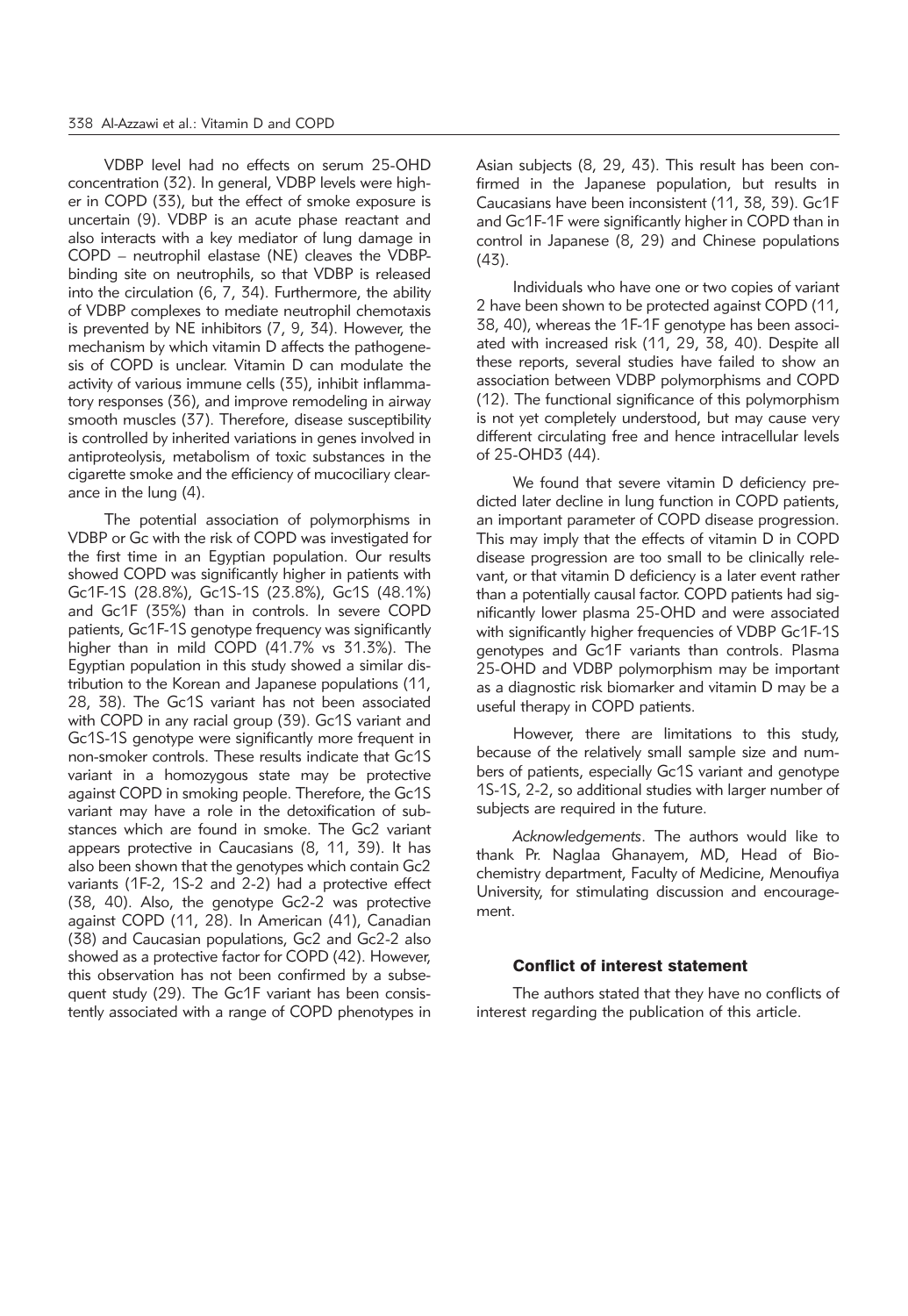VDBP level had no effects on serum 25-OHD concentration (32). In general, VDBP levels were higher in COPD (33), but the effect of smoke exposure is uncertain (9). VDBP is an acute phase reactant and also interacts with a key mediator of lung damage in COPD – neutrophil elastase (NE) cleaves the VDBPbinding site on neutrophils, so that VDBP is released into the circulation (6, 7, 34). Furthermore, the ability of VDBP complexes to mediate neutrophil chemotaxis is prevented by NE inhibitors (7, 9, 34). However, the mechanism by which vitamin D affects the pathogenesis of COPD is unclear. Vitamin D can modulate the activity of various immune cells (35), inhibit inflammatory responses (36), and improve remodeling in airway smooth muscles (37). Therefore, disease susceptibility is controlled by inherited variations in genes involved in antiproteolysis, metabolism of toxic substances in the cigarette smoke and the efficiency of mucociliary clearance in the lung (4).

The potential association of polymorphisms in VDBP or Gc with the risk of COPD was investigated for the first time in an Egyptian population. Our results showed COPD was significantly higher in patients with Gc1F-1S (28.8%), Gc1S-1S (23.8%), Gc1S (48.1%) and Gc1F (35%) than in controls. In severe COPD patients, Gc1F-1S genotype frequency was significantly higher than in mild COPD (41.7% vs 31.3%). The Egyptian population in this study showed a similar distribution to the Korean and Japanese populations (11, 28, 38). The Gc1S variant has not been associated with COPD in any racial group (39). Gc1S variant and Gc1S-1S genotype were significantly more frequent in non-smoker controls. These results indicate that Gc1S variant in a homozygous state may be protective against COPD in smoking people. Therefore, the Gc1S variant may have a role in the detoxification of substances which are found in smoke. The Gc2 variant appears protective in Caucasians (8, 11, 39). It has also been shown that the genotypes which contain Gc2 variants (1F-2, 1S-2 and 2-2) had a protective effect (38, 40). Also, the genotype Gc2-2 was protective against COPD (11, 28). In American (41), Canadian (38) and Caucasian populations, Gc2 and Gc2-2 also showed as a protective factor for COPD (42). However, this observation has not been confirmed by a subsequent study (29). The Gc1F variant has been consistently associated with a range of COPD phenotypes in

Asian subjects (8, 29, 43). This result has been confirmed in the Japanese population, but results in Caucasians have been inconsistent (11, 38, 39). Gc1F and Gc1F-1F were significantly higher in COPD than in control in Japanese (8, 29) and Chinese populations (43).

Individuals who have one or two copies of variant 2 have been shown to be protected against COPD (11, 38, 40), whereas the 1F-1F genotype has been associated with increased risk (11, 29, 38, 40). Despite all these reports, several studies have failed to show an association between VDBP polymorphisms and COPD (12). The functional significance of this polymorphism is not yet completely understood, but may cause very different circulating free and hence intracellular levels of 25-OHD3 (44).

We found that severe vitamin D deficiency predicted later decline in lung function in COPD patients, an important parameter of COPD disease progression. This may imply that the effects of vitamin D in COPD disease progression are too small to be clinically relevant, or that vitamin D deficiency is a later event rather than a potentially causal factor. COPD patients had significantly lower plasma 25-OHD and were associated with significantly higher frequencies of VDBP Gc1F-1S genotypes and Gc1F variants than controls. Plasma 25-OHD and VDBP polymorphism may be important as a diagnostic risk biomarker and vitamin D may be a useful therapy in COPD patients.

However, there are limitations to this study, because of the relatively small sample size and numbers of patients, especially Gc1S variant and genotype 1S-1S, 2-2, so additional studies with larger number of subjects are required in the future.

*Acknowledgements*. The authors would like to thank Pr. Naglaa Ghanayem, MD, Head of Biochemistry department, Faculty of Medicine, Menoufiya University, for stimulating discussion and encouragement.

#### Conflict of interest statement

The authors stated that they have no conflicts of interest regarding the publication of this article.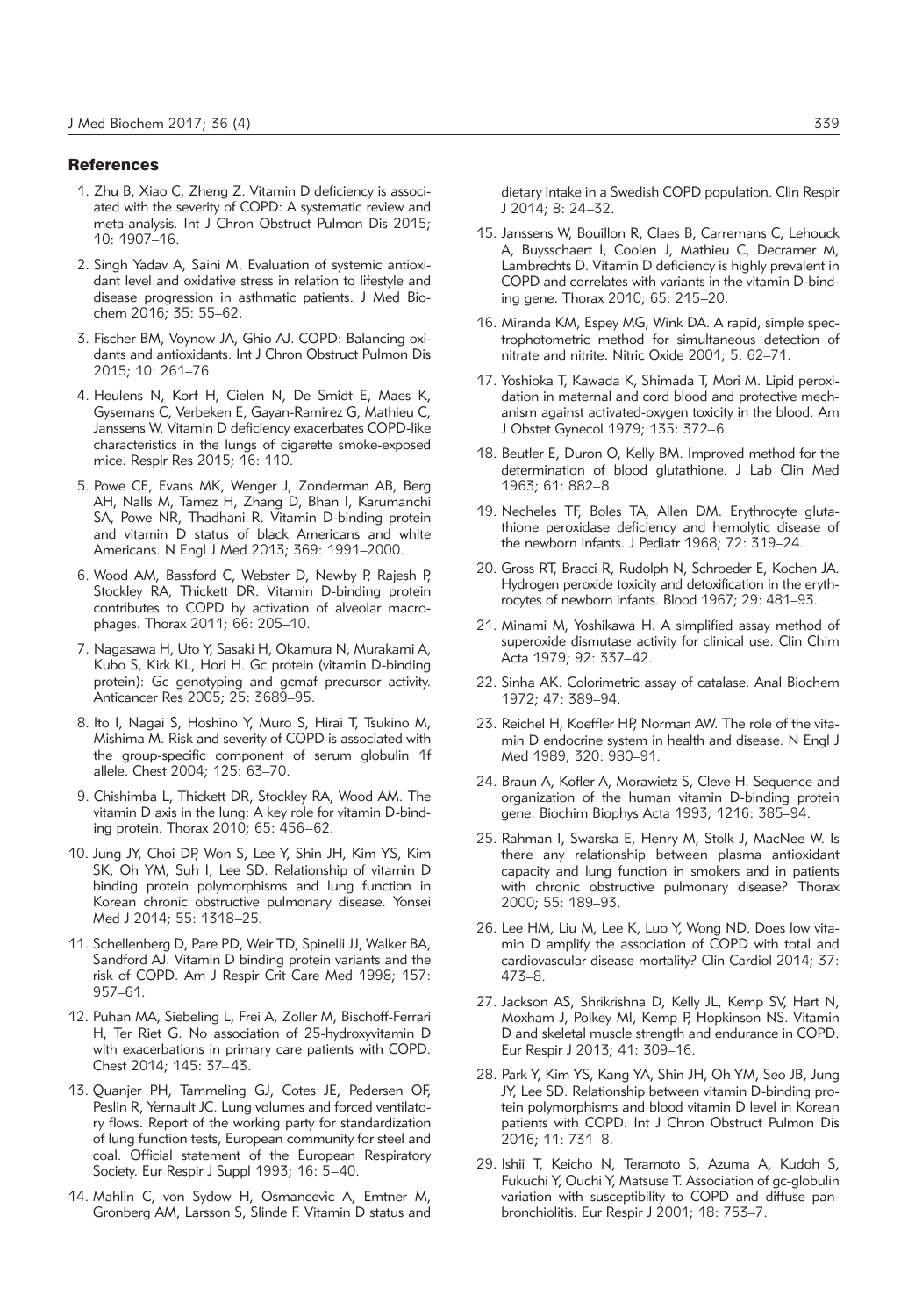#### **References**

- 1. Zhu B, Xiao C, Zheng Z. Vitamin D deficiency is associated with the severity of COPD: A systematic review and meta-analysis. Int J Chron Obstruct Pulmon Dis 2015; 10: 1907–16.
- 2. Singh Yadav A, Saini M. Evaluation of systemic antioxidant level and oxidative stress in relation to lifestyle and disease progression in asthmatic patients. J Med Biochem 2016; 35: 55–62.
- 3. Fischer BM, Voynow JA, Ghio AJ. COPD: Balancing oxidants and antioxidants. Int J Chron Obstruct Pulmon Dis 2015; 10: 261–76.
- 4. Heulens N, Korf H, Cielen N, De Smidt E, Maes K, Gysemans C, Verbeken E, Gayan-Ramirez G, Mathieu C, Janssens W. Vitamin D deficiency exacerbates COPD-like characteristics in the lungs of cigarette smoke-exposed mice. Respir Res 2015; 16: 110.
- 5. Powe CE, Evans MK, Wenger J, Zonderman AB, Berg AH, Nalls M, Tamez H, Zhang D, Bhan I, Karumanchi SA, Powe NR, Thadhani R. Vitamin D-binding protein and vitamin D status of black Americans and white Americans. N Engl J Med 2013; 369: 1991–2000.
- 6. Wood AM, Bassford C, Webster D, Newby P, Rajesh P, Stockley RA, Thickett DR. Vitamin D-binding protein contributes to COPD by activation of alveolar macrophages. Thorax 2011; 66: 205–10.
- 7. Nagasawa H, Uto Y, Sasaki H, Okamura N, Murakami A, Kubo S, Kirk KL, Hori H. Gc protein (vitamin D-binding protein): Gc genotyping and gcmaf precursor activity. Anticancer Res 2005; 25: 3689–95.
- 8. Ito I, Nagai S, Hoshino Y, Muro S, Hirai T, Tsukino M, Mishima M. Risk and severity of COPD is associated with the group-specific component of serum globulin 1f allele. Chest 2004; 125: 63–70.
- 9. Chishimba L, Thickett DR, Stockley RA, Wood AM. The vitamin D axis in the lung: A key role for vitamin D-binding protein. Thorax 2010; 65: 456–62.
- 10. Jung JY, Choi DP, Won S, Lee Y, Shin JH, Kim YS, Kim SK, Oh YM, Suh I, Lee SD. Relationship of vitamin D binding protein polymorphisms and lung function in Korean chronic obstructive pulmonary disease. Yonsei Med J 2014; 55: 1318–25.
- 11. Schellenberg D, Pare PD, Weir TD, Spinelli JJ, Walker BA, Sandford AJ. Vitamin D binding protein variants and the risk of COPD. Am J Respir Crit Care Med 1998; 157: 957–61.
- 12. Puhan MA, Siebeling L, Frei A, Zoller M, Bischoff-Ferrari H, Ter Riet G. No association of 25-hydroxyvitamin D with exacerbations in primary care patients with COPD. Chest 2014; 145: 37–43.
- 13. Quanjer PH, Tammeling GJ, Cotes JE, Pedersen OF, Peslin R, Yernault JC. Lung volumes and forced ventilatory flows. Report of the working party for standardization of lung function tests, European community for steel and coal. Official statement of the European Respiratory Society. Eur Respir J Suppl 1993; 16: 5–40.
- 14. Mahlin C, von Sydow H, Osmancevic A, Emtner M, Gronberg AM, Larsson S, Slinde F. Vitamin D status and

dietary intake in a Swedish COPD population. Clin Respir J 2014; 8: 24–32.

- 15. Janssens W, Bouillon R, Claes B, Carremans C, Lehouck A, Buysschaert I, Coolen J, Mathieu C, Decramer M, Lambrechts D. Vitamin D deficiency is highly prevalent in COPD and correlates with variants in the vitamin D-binding gene. Thorax 2010; 65: 215–20.
- 16. Miranda KM, Espey MG, Wink DA. A rapid, simple spectrophotometric method for simultaneous detection of nitrate and nitrite. Nitric Oxide 2001; 5: 62–71.
- 17. Yoshioka T, Kawada K, Shimada T, Mori M. Lipid peroxidation in maternal and cord blood and protective mechanism against activated-oxygen toxicity in the blood. Am J Obstet Gynecol 1979; 135: 372–6.
- 18. Beutler E, Duron O, Kelly BM. Improved method for the determination of blood glutathione. J Lab Clin Med 1963; 61: 882–8.
- 19. Necheles TF, Boles TA, Allen DM. Erythrocyte glutathione peroxidase deficiency and hemolytic disease of the newborn infants. J Pediatr 1968; 72: 319–24.
- 20. Gross RT, Bracci R, Rudolph N, Schroeder E, Kochen JA. Hydrogen peroxide toxicity and detoxification in the erythrocytes of newborn infants. Blood 1967; 29: 481-93.
- 21. Minami M, Yoshikawa H. A simplified assay method of superoxide dismutase activity for clinical use. Clin Chim Acta 1979; 92: 337–42.
- 22. Sinha AK. Colorimetric assay of catalase. Anal Biochem 1972; 47: 389–94.
- 23. Reichel H, Koeffler HP, Norman AW. The role of the vitamin D endocrine system in health and disease. N Engl J Med 1989; 320: 980–91.
- 24. Braun A, Kofler A, Morawietz S, Cleve H. Sequence and organization of the human vitamin D-binding protein gene. Biochim Biophys Acta 1993; 1216: 385–94.
- 25. Rahman I, Swarska E, Henry M, Stolk J, MacNee W. Is there any relationship between plasma antioxidant capacity and lung function in smokers and in patients with chronic obstructive pulmonary disease? Thorax 2000; 55: 189–93.
- 26. Lee HM, Liu M, Lee K, Luo Y, Wong ND. Does low vitamin D amplify the association of COPD with total and cardiovascular disease mortality? Clin Cardiol 2014; 37: 473–8.
- 27. Jackson AS, Shrikrishna D, Kelly JL, Kemp SV, Hart N, Moxham J, Polkey MI, Kemp P, Hopkinson NS. Vitamin D and skeletal muscle strength and endurance in COPD. Eur Respir J 2013; 41: 309–16.
- 28. Park Y, Kim YS, Kang YA, Shin JH, Oh YM, Seo JB, Jung JY, Lee SD. Relationship between vitamin D-binding protein polymorphisms and blood vitamin D level in Korean patients with COPD. Int J Chron Obstruct Pulmon Dis 2016; 11: 731–8.
- 29. Ishii T, Keicho N, Teramoto S, Azuma A, Kudoh S, Fukuchi Y, Ouchi Y, Matsuse T. Association of gc-globulin variation with susceptibility to COPD and diffuse panbronchiolitis. Eur Respir J 2001; 18: 753–7.